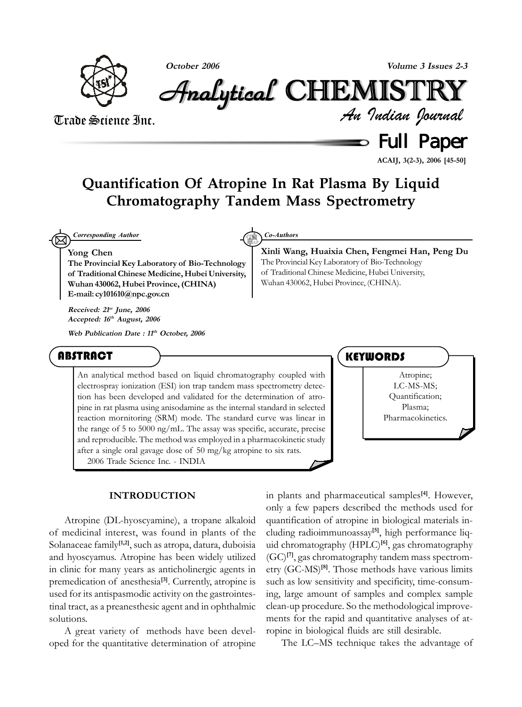

**October 2006 Volume 3 Issues 2-3**

Analytical Analytical Analytical Analytical Analytical Analytical CHEMISTR CHEMISTR HEMISTR HEMISTRYY

## Trade Science Inc.

*An Indian Journal*

Full Paper

**ACAIJ, 3(2-3), 2006 [45-50]**

## **Quantification Of Atropine In Rat Plasma By Liquid Chromatography Tandem Mass Spectrometry**

⊠ *Corresponding Author Co-Authors*

#### **Yong Chen**

**The Provincial Key Laboratory of Bio-Technology of Traditional Chinese Medicine, Hubei University, Wuhan 430062, Hubei Province, (CHINA) E-mail: cy101610@npc.gov.cn**

**Received: 21st June, 2006 Accepted: 16th August, 2006**

**Web Publication Date : 11th October, 2006**

#### ABSTRACT

An analytical method based on liquid chromatography coupled with electrospray ionization (ESI) ion trap tandem mass spectrometry detection has been developed and validated for the determination of atropine in rat plasma using anisodamine as the internal standard in selected reaction mornitoring (SRM) mode. The standard curve was linear in the range of 5 to 5000 ng/mL. The assay was specific, accurate, precise and reproducible. The method was employed in a pharmacokinetic study after a single oral gavage dose of 50 mg/kg atropine to six rats. 2006 Trade Science Inc. - INDIA

#### **INTRODUCTION**

Atropine (DL-hyoscyamine), a tropane alkaloid of medicinal interest, was found in plants of the Solanaceae family**[1,2]**, such as atropa, datura, duboisia and hyoscyamus. Atropine has been widely utilized in clinic for many years as anticholinergic agents in premedication of anesthesia**[3]**. Currently, atropine is used for its antispasmodic activity on the gastrointestinal tract, as a preanesthesic agent and in ophthalmic solutions.

A great variety of methods have been developed for the quantitative determination of atropine

The Provincial Key Laboratory of Bio-Technology of Traditional Chinese Medicine, Hubei University, Wuhan 430062, Hubei Province, (CHINA).

**Xinli Wang, Huaixia Chen, Fengmei Han, Peng Du**



in plants and pharmaceutical samples**[4]**. However, only a few papers described the methods used for quantification of atropine in biological materials including radioimmunoassay**[5]**, high performance liquid chromatography (HPLC)**[6]**, gas chromatography (GC)**[7]**, gas chromatography tandem mass spectrometry (GC-MS)**[8]**. Those methods have various limits such as low sensitivity and specificity, time-consuming, large amount of samples and complex sample clean-up procedure. So the methodological improvements for the rapid and quantitative analyses of atropine in biological fluids are still desirable.

The LC–MS technique takes the advantage of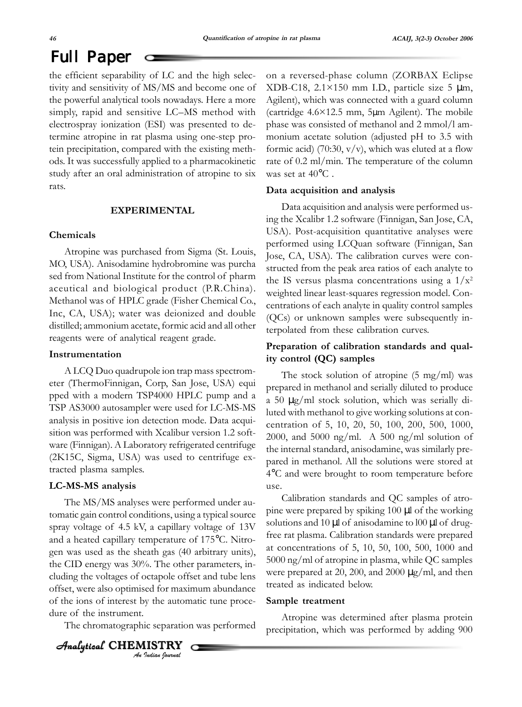# Full Paper

the efficient separability of LC and the high selectivity and sensitivity of MS/MS and become one of the powerful analytical tools nowadays. Here a more simply, rapid and sensitive LC–MS method with electrospray ionization (ESI) was presented to determine atropine in rat plasma using one-step protein precipitation, compared with the existing methods. It was successfully applied to a pharmacokinetic study after an oral administration of atropine to six rats.

#### **EXPERIMENTAL**

#### **Chemicals**

Atropine was purchased from Sigma (St. Louis, MO, USA). Anisodamine hydrobromine was purcha sed from National Institute for the control of pharm aceutical and biological product (P.R.China). Methanol was of HPLC grade (Fisher Chemical Co., Inc, CA, USA); water was deionized and double distilled; ammonium acetate, formic acid and all other reagents were of analytical reagent grade.

#### **Instrumentation**

A LCQ Duo quadrupole ion trap mass spectrometer (ThermoFinnigan, Corp, San Jose, USA) equi pped with a modern TSP4000 HPLC pump and a TSP AS3000 autosampler were used for LC-MS-MS analysis in positive ion detection mode. Data acquisition was performed with Xcalibur version 1.2 software (Finnigan). A Laboratory refrigerated centrifuge (2K15C, Sigma, USA) was used to centrifuge extracted plasma samples.

#### **LC-MS-MS analysis**

The MS/MS analyses were performed under automatic gain control conditions, using a typical source spray voltage of 4.5 kV, a capillary voltage of 13V and a heated capillary temperature of 175°C. Nitrogen was used as the sheath gas (40 arbitrary units), the CID energy was 30%. The other parameters, including the voltages of octapole offset and tube lens offset, were also optimised for maximum abundance of the ions of interest by the automatic tune procedure of the instrument.

The chromatographic separation was performed

◯

#### *An Indian Journal*  $A$ nalytical  $\,$  <code>CHEMISTRY</code>

on a reversed-phase column (ZORBAX Eclipse XDB-C18,  $2.1 \times 150$  mm I.D., particle size 5  $\mu$ m, Agilent), which was connected with a guard column (cartridge 4.6×12.5 mm, 5µm Agilent). The mobile phase was consisted of methanol and 2 mmol/l ammonium acetate solution (adjusted pH to 3.5 with formic acid) (70:30,  $v/v$ ), which was eluted at a flow rate of 0.2 ml/min. The temperature of the column was set at 40°C .

#### **Data acquisition and analysis**

Data acquisition and analysis were performed using the Xcalibr 1.2 software (Finnigan, San Jose, CA, USA). Post-acquisition quantitative analyses were performed using LCQuan software (Finnigan, San Jose, CA, USA). The calibration curves were constructed from the peak area ratios of each analyte to the IS versus plasma concentrations using a  $1/x^2$ weighted linear least-squares regression model. Concentrations of each analyte in quality control samples (QCs) or unknown samples were subsequently interpolated from these calibration curves.

### **Preparation of calibration standards and quality control (QC) samples**

The stock solution of atropine (5 mg/ml) was prepared in methanol and serially diluted to produce a 50 µg/ml stock solution, which was serially diluted with methanol to give working solutions at concentration of 5, 10, 20, 50, 100, 200, 500, 1000, 2000, and 5000 ng/ml. A 500 ng/ml solution of the internal standard, anisodamine, was similarly prepared in methanol. All the solutions were stored at 4°C and were brought to room temperature before use.

Calibration standards and QC samples of atropine were prepared by spiking 100 µl of the working solutions and  $10 \mu$ l of anisodamine to  $100 \mu$ l of drugfree rat plasma. Calibration standards were prepared at concentrations of 5, 10, 50, 100, 500, 1000 and 5000 ng/ml of atropine in plasma, while QC samples were prepared at 20, 200, and 2000  $\mu$ g/ml, and then treated as indicated below.

#### **Sample treatment**

Atropine was determined after plasma protein precipitation, which was performed by adding 900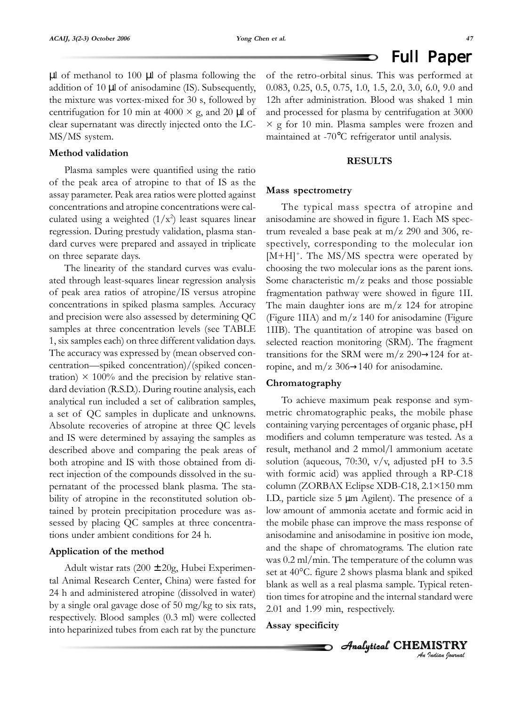#### Full Paper D

µl of methanol to 100 µl of plasma following the addition of 10 µl of anisodamine (IS). Subsequently, the mixture was vortex-mixed for 30 s, followed by centrifugation for 10 min at 4000  $\times$  g, and 20 µl of clear supernatant was directly injected onto the LC-MS/MS system.

#### **Method validation**

Plasma samples were quantified using the ratio of the peak area of atropine to that of IS as the assay parameter. Peak area ratios were plotted against concentrations and atropine concentrations were calculated using a weighted  $(1/x^2)$  least squares linear regression. During prestudy validation, plasma standard curves were prepared and assayed in triplicate on three separate days.

The linearity of the standard curves was evaluated through least-squares linear regression analysis of peak area ratios of atropine/IS versus atropine concentrations in spiked plasma samples. Accuracy and precision were also assessed by determining QC samples at three concentration levels (see TABLE 1, six samples each) on three different validation days. The accuracy was expressed by (mean observed concentration—spiked concentration)/(spiked concentration)  $\times$  100% and the precision by relative standard deviation (R.S.D.). During routine analysis, each analytical run included a set of calibration samples, a set of QC samples in duplicate and unknowns. Absolute recoveries of atropine at three QC levels and IS were determined by assaying the samples as described above and comparing the peak areas of both atropine and IS with those obtained from direct injection of the compounds dissolved in the supernatant of the processed blank plasma. The stability of atropine in the reconstituted solution obtained by protein precipitation procedure was assessed by placing QC samples at three concentrations under ambient conditions for 24 h.

#### **Application of the method**

Adult wistar rats (200 ± 20g, Hubei Experimental Animal Research Center, China) were fasted for 24 h and administered atropine (dissolved in water) by a single oral gavage dose of 50 mg/kg to six rats, respectively. Blood samples (0.3 ml) were collected into heparinized tubes from each rat by the puncture

of the retro-orbital sinus. This was performed at 0.083, 0.25, 0.5, 0.75, 1.0, 1.5, 2.0, 3.0, 6.0, 9.0 and 12h after administration. Blood was shaked 1 min and processed for plasma by centrifugation at 3000  $\times$  g for 10 min. Plasma samples were frozen and maintained at -70°C refrigerator until analysis.

#### **RESULTS**

#### **Mass spectrometry**

The typical mass spectra of atropine and anisodamine are showed in figure 1. Each MS spectrum revealed a base peak at  $m/z$  290 and 306, respectively, corresponding to the molecular ion  $[M+H]^+$ . The MS/MS spectra were operated by choosing the two molecular ions as the parent ions. Some characteristic m/z peaks and those possiable fragmentation pathway were showed in figure 1II. The main daughter ions are  $m/z$  124 for atropine (Figure 1IIA) and m/z 140 for anisodamine (Figure 1IIB). The quantitation of atropine was based on selected reaction monitoring (SRM). The fragment transitions for the SRM were m/z 290 $\rightarrow$ 124 for atropine, and  $m/z$  306 $\rightarrow$ 140 for anisodamine.

#### **Chromatography**

To achieve maximum peak response and symmetric chromatographic peaks, the mobile phase containing varying percentages of organic phase, pH modifiers and column temperature was tested. As a result, methanol and 2 mmol/l ammonium acetate solution (aqueous, 70:30,  $v/v$ , adjusted pH to 3.5 with formic acid) was applied through a RP-C18 column (ZORBAX Eclipse XDB-C18, 2.1×150 mm I.D., particle size 5 µm Agilent). The presence of a low amount of ammonia acetate and formic acid in the mobile phase can improve the mass response of anisodamine and anisodamine in positive ion mode, and the shape of chromatograms. The elution rate was 0.2 ml/min. The temperature of the column was set at 40°C. figure 2 shows plasma blank and spiked blank as well as a real plasma sample. Typical retention times for atropine and the internal standard were 2.01 and 1.99 min, respectively.

#### **Assay specificity**

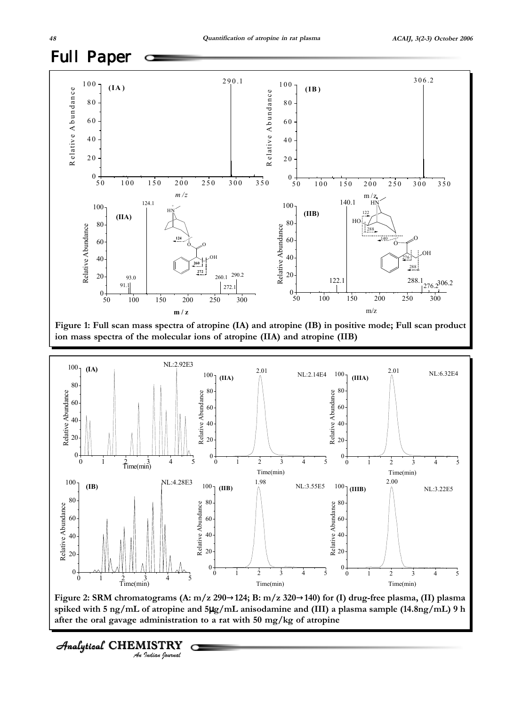

**Figure 1: Full scan mass spectra of atropine (IA) and atropine (IB) in positive mode; Full scan product ion mass spectra of the molecular ions of atropine (IIA) and atropine (IIB)**



**Figure 2: SRM chromatograms (A: m/z 290**→**124; B: m/z 320**→**140) for (I) drug-free plasma, (II) plasma spiked with 5 ng/mL of atropine and 5**µ**g/mL anisodamine and (III) a plasma sample (14.8ng/mL) 9 h after the oral gavage administration to a rat with 50 mg/kg of atropine**

Analytical CHEMISTRY<br>An Indian Journal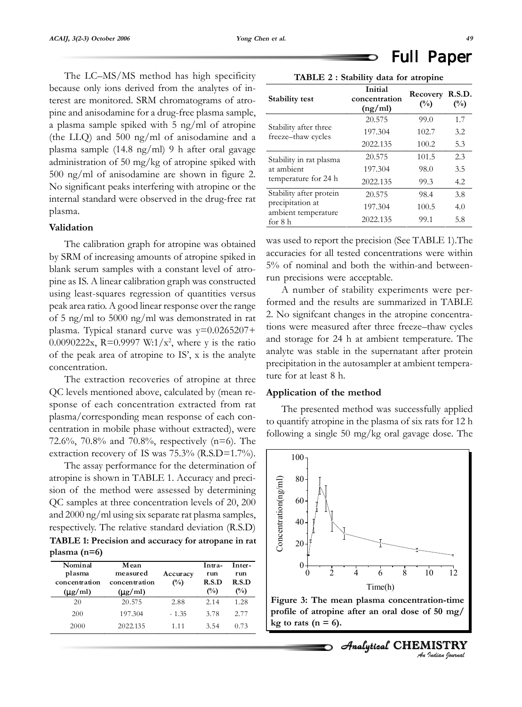# Full Paper

The LC–MS/MS method has high specificity because only ions derived from the analytes of interest are monitored. SRM chromatograms of atropine and anisodamine for a drug-free plasma sample, a plasma sample spiked with 5 ng/ml of atropine (the LLQ) and 500 ng/ml of anisodamine and a plasma sample (14.8 ng/ml) 9 h after oral gavage administration of 50 mg/kg of atropine spiked with 500 ng/ml of anisodamine are shown in figure 2. No significant peaks interfering with atropine or the internal standard were observed in the drug-free rat plasma.

#### **Validation**

The calibration graph for atropine was obtained by SRM of increasing amounts of atropine spiked in blank serum samples with a constant level of atropine as IS. A linear calibration graph was constructed using least-squares regression of quantities versus peak area ratio. A good linear response over the range of 5 ng/ml to 5000 ng/ml was demonstrated in rat plasma. Typical stanard curve was y=0.0265207+ 0.0090222x, R=0.9997 W:1/ $x^2$ , where y is the ratio of the peak area of atropine to IS', x is the analyte concentration.

The extraction recoveries of atropine at three QC levels mentioned above, calculated by (mean response of each concentration extracted from rat plasma/corresponding mean response of each concentration in mobile phase without extracted), were 72.6%, 70.8% and 70.8%, respectively (n=6). The extraction recovery of IS was 75.3% (R.S.D=1.7%).

The assay performance for the determination of atropine is shown in TABLE 1. Accuracy and precision of the method were assessed by determining QC samples at three concentration levels of 20, 200 and 2000 ng/ml using six separate rat plasma samples, respectively. The relative standard deviation (R.S.D)

**TABLE 1: Precision and accuracy for atropane in rat plasma (n=6)**

| Nominal<br>plasma<br>concentration<br>$(\mu g/ml)$ | Mean<br>measured<br>concentration<br>$(\mu g/ml)$ | Accuracy<br>$($ %) | Intra-<br>run<br>R.S.D<br>$\binom{0}{0}$ | Inter-<br>run<br>R.S.D<br>$(\%)$ |
|----------------------------------------------------|---------------------------------------------------|--------------------|------------------------------------------|----------------------------------|
| 20                                                 | 20.575                                            | 2.88               | 2.14                                     | 1.28                             |
| 200                                                | 197.304                                           | $-1.35$            | 3.78                                     | 2.77                             |
| 2000                                               | 2022.135                                          | 1.11               | 3.54                                     | 0.73                             |

| TABLE 2 : Stability data for atropine       |                                     |                 |               |  |  |  |
|---------------------------------------------|-------------------------------------|-----------------|---------------|--|--|--|
| <b>Stability test</b>                       | Initial<br>concentration<br>(ng/ml) | Recovery<br>(%) | R.S.D.<br>(%) |  |  |  |
|                                             | 20.575                              | 99.0            | 1.7           |  |  |  |
| Stability after three<br>freeze-thaw cycles | 197.304                             | 102.7           | 3.2           |  |  |  |
|                                             | 2022.135                            | 100.2           | 5.3           |  |  |  |
| Stability in rat plasma                     | 20.575                              | 101.5           | 2.3           |  |  |  |
| at ambient                                  | 197.304                             | 98.0            | 3.5           |  |  |  |
| temperature for 24 h                        | 2022.135                            | 99.3            | 4.2           |  |  |  |
| Stability after protein                     | 20.575                              | 98.4            | 3.8           |  |  |  |
| precipitation at<br>ambient temperature     | 197.304                             | 100.5           | 4.0           |  |  |  |
| for 8 h                                     | 2022.135                            | 99.1            | 5.8           |  |  |  |

was used to report the precision (See TABLE 1).The accuracies for all tested concentrations were within 5% of nominal and both the within-and betweenrun precisions were acceptable.

A number of stability experiments were performed and the results are summarized in TABLE 2. No signifcant changes in the atropine concentrations were measured after three freeze–thaw cycles and storage for 24 h at ambient temperature. The analyte was stable in the supernatant after protein precipitation in the autosampler at ambient temperature for at least 8 h.

#### **Application of the method**

The presented method was successfully applied to quantify atropine in the plasma of six rats for 12 h following a single 50 mg/kg oral gavage dose. The





*An Indian Journal*

Analytical CHEMISTRY